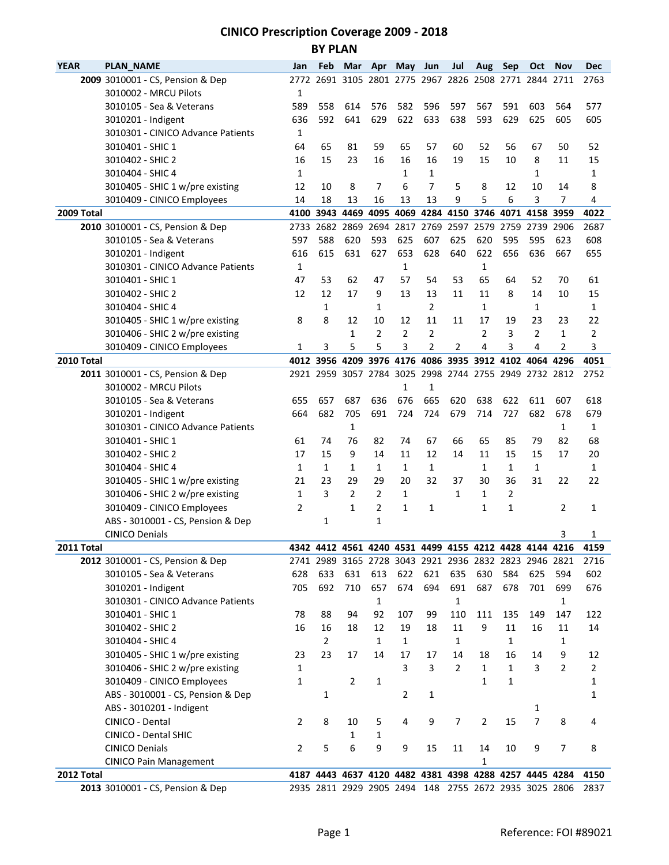## **CINICO Prescription Coverage 2009 - 2018 BY PLAN**

| <b>YEAR</b> | <b>PLAN_NAME</b>      |                                                                    | Jan          | Feb            | Mar            | Apr            | May                | Jun            | Jul                                                    | Aug            | Sep            | Oct            | Nov                                     | <b>Dec</b> |
|-------------|-----------------------|--------------------------------------------------------------------|--------------|----------------|----------------|----------------|--------------------|----------------|--------------------------------------------------------|----------------|----------------|----------------|-----------------------------------------|------------|
|             |                       | 2009 3010001 - CS, Pension & Dep                                   |              |                |                |                |                    |                | 2772 2691 3105 2801 2775 2967 2826 2508 2771 2844 2711 |                |                |                |                                         | 2763       |
|             |                       | 3010002 - MRCU Pilots                                              | 1            |                |                |                |                    |                |                                                        |                |                |                |                                         |            |
|             |                       | 3010105 - Sea & Veterans                                           | 589          | 558            | 614            | 576            | 582                | 596            | 597                                                    | 567            | 591            | 603            | 564                                     | 577        |
|             | 3010201 - Indigent    |                                                                    | 636          | 592            | 641            | 629            | 622                | 633            | 638                                                    | 593            | 629            | 625            | 605                                     | 605        |
|             |                       | 3010301 - CINICO Advance Patients                                  | $\mathbf{1}$ |                |                |                |                    |                |                                                        |                |                |                |                                         |            |
|             | 3010401 - SHIC 1      |                                                                    | 64           | 65             | 81             | 59             | 65                 | 57             | 60                                                     | 52             | 56             | 67             | 50                                      | 52         |
|             | 3010402 - SHIC 2      |                                                                    | 16           | 15             | 23             | 16             | 16                 | 16             | 19                                                     | 15             | 10             | 8              | 11                                      | 15         |
|             | 3010404 - SHIC 4      |                                                                    | 1            |                |                |                | $\mathbf{1}$       | $\mathbf{1}$   |                                                        |                |                | 1              |                                         | 1          |
|             |                       | 3010405 - SHIC 1 w/pre existing                                    | 12           | 10             | 8              | 7              | 6                  | 7              | 5                                                      | 8              | 12             | 10             | 14                                      | 8          |
|             |                       | 3010409 - CINICO Employees                                         | 14           | 18             | 13             | 16             | 13                 | 13             | 9                                                      | 5              | 6              | 3              | $\overline{7}$                          | 4          |
| 2009 Total  |                       |                                                                    |              | 4100 3943      | 4469           | 4095           |                    |                | 4069 4284 4150 3746                                    |                | 4071           | 4158           | 3959                                    | 4022       |
|             |                       | 2010 3010001 - CS, Pension & Dep                                   |              | 2733 2682      |                | 2869 2694      |                    | 2817 2769      | 2597 2579                                              |                | 2759           | 2739           | 2906                                    | 2687       |
|             |                       | 3010105 - Sea & Veterans                                           | 597          | 588            | 620            | 593            | 625                | 607            | 625                                                    | 620            | 595            | 595            | 623                                     | 608        |
|             | 3010201 - Indigent    |                                                                    | 616          | 615            | 631            | 627            | 653                | 628            | 640                                                    | 622            | 656            | 636            | 667                                     | 655        |
|             |                       | 3010301 - CINICO Advance Patients                                  | 1            |                |                |                | 1                  |                |                                                        | $\mathbf 1$    |                |                |                                         |            |
|             | 3010401 - SHIC 1      |                                                                    | 47           | 53             | 62             | 47             | 57                 | 54             | 53                                                     | 65             | 64             | 52             | 70                                      | 61         |
|             | 3010402 - SHIC 2      |                                                                    | 12           | 12             | 17             | 9              | 13                 | 13             | 11                                                     | 11             | 8              | 14             | 10                                      | 15         |
|             | 3010404 - SHIC 4      |                                                                    |              | $\mathbf{1}$   |                | $\mathbf{1}$   |                    | $\overline{2}$ |                                                        | $\mathbf{1}$   |                | 1              |                                         | 1          |
|             |                       | 3010405 - SHIC 1 w/pre existing                                    | 8            | 8              | 12             | 10             | 12                 | 11             | 11                                                     | 17             | 19             | 23             | 23                                      | 22         |
|             |                       | 3010406 - SHIC 2 w/pre existing                                    |              |                | 1              | $\overline{2}$ | $\overline{2}$     | 2              |                                                        | $\overline{2}$ | 3              | $\overline{2}$ | $\mathbf{1}$                            | 2          |
|             |                       | 3010409 - CINICO Employees                                         | 1            | 3              | 5              | 5              | 3                  | 2              | 2                                                      | 4              | 3              | 4              | 2                                       | 3          |
| 2010 Total  |                       |                                                                    |              |                |                |                |                    |                | 4012 3956 4209 3976 4176 4086 3935 3912 4102 4064      |                |                |                | 4296                                    | 4051       |
|             |                       | 2011 3010001 - CS, Pension & Dep                                   |              |                |                |                |                    |                | 2921 2959 3057 2784 3025 2998 2744 2755 2949 2732 2812 |                |                |                |                                         | 2752       |
|             |                       | 3010002 - MRCU Pilots                                              |              |                |                |                | 1                  | 1              |                                                        |                |                |                |                                         |            |
|             |                       | 3010105 - Sea & Veterans                                           | 655          | 657            | 687            | 636            | 676                | 665            | 620                                                    | 638            | 622            | 611            | 607                                     | 618        |
|             | 3010201 - Indigent    |                                                                    | 664          | 682            | 705            | 691            | 724                | 724            | 679                                                    | 714            | 727            | 682            | 678                                     | 679        |
|             |                       | 3010301 - CINICO Advance Patients                                  |              |                | 1              |                |                    |                |                                                        |                |                |                | 1                                       | 1          |
|             | 3010401 - SHIC 1      |                                                                    | 61           | 74             | 76             | 82             | 74                 | 67             | 66                                                     | 65             | 85             | 79             | 82                                      | 68         |
|             | 3010402 - SHIC 2      |                                                                    | 17           | 15             | 9              | 14             | 11                 | 12             | 14                                                     | 11             | 15             | 15             | 17                                      | 20         |
|             | 3010404 - SHIC 4      |                                                                    | 1            | $\mathbf{1}$   | $\mathbf{1}$   | $\mathbf{1}$   | $\mathbf{1}$       | $\mathbf{1}$   |                                                        | $\mathbf{1}$   | $\mathbf{1}$   | $\mathbf{1}$   |                                         | 1          |
|             |                       | 3010405 - SHIC 1 w/pre existing                                    | 21           | 23             | 29             | 29             | 20                 | 32             | 37                                                     | 30             | 36             | 31             | 22                                      | 22         |
|             |                       | 3010406 - SHIC 2 w/pre existing                                    | 1            | 3              | $\overline{2}$ | 2              | $\mathbf{1}$       |                | 1                                                      | 1              | $\overline{2}$ |                |                                         |            |
|             |                       | 3010409 - CINICO Employees                                         | 2            |                | $\mathbf{1}$   | 2              | $\mathbf{1}$       | 1              |                                                        | 1              | $\mathbf{1}$   |                | 2                                       | 1          |
|             |                       | ABS - 3010001 - CS, Pension & Dep                                  |              | 1              |                | $\mathbf{1}$   |                    |                |                                                        |                |                |                |                                         |            |
|             | <b>CINICO Denials</b> |                                                                    |              |                |                |                |                    |                |                                                        |                |                |                | 3                                       | 1          |
| 2011 Total  |                       |                                                                    | 4342         |                | 4412 4561      |                |                    |                |                                                        |                |                |                | 4240 4531 4499 4155 4212 4428 4144 4216 | 4159       |
|             |                       | 2012 3010001 - CS, Pension & Dep                                   |              |                |                |                |                    |                | 2741 2989 3165 2728 3043 2921 2936 2832 2823 2946 2821 |                |                |                |                                         | 2716       |
|             |                       | 3010105 - Sea & Veterans                                           | 628<br>705   | 633<br>692     | 631<br>710     | 613<br>657     | 622<br>674         | 621<br>694     | 635<br>691                                             | 630<br>687     | 584<br>678     | 625<br>701     | 594<br>699                              | 602        |
|             | 3010201 - Indigent    | 3010301 - CINICO Advance Patients                                  |              |                |                | $\mathbf{1}$   |                    |                |                                                        |                |                |                |                                         | 676        |
|             | 3010401 - SHIC 1      |                                                                    |              |                | 94             | 92             |                    |                | 1                                                      |                |                |                | 1<br>147                                |            |
|             |                       |                                                                    | 78<br>16     | 88<br>16       | 18             | 12             | 107                | 99<br>18       | 110<br>11                                              | 111<br>9       | 135<br>11      | 149<br>16      | 11                                      | 122<br>14  |
|             | 3010402 - SHIC 2      |                                                                    |              | $\overline{2}$ |                | $\mathbf{1}$   | 19<br>$\mathbf{1}$ |                | 1                                                      |                | $\mathbf{1}$   |                | 1                                       |            |
|             | 3010404 - SHIC 4      |                                                                    | 23           | 23             | 17             | 14             | 17                 | 17             | 14                                                     | 18             | 16             | 14             |                                         | 12         |
|             |                       | 3010405 - SHIC 1 w/pre existing<br>3010406 - SHIC 2 w/pre existing |              |                |                |                | 3                  | 3              | $\overline{2}$                                         | $\mathbf{1}$   | $\mathbf{1}$   | 3              | 9<br>$\overline{2}$                     |            |
|             |                       | 3010409 - CINICO Employees                                         | 1            |                | $\overline{2}$ |                |                    |                |                                                        | $\mathbf{1}$   | $\mathbf{1}$   |                |                                         | 2          |
|             |                       |                                                                    | 1            |                |                | 1              |                    |                |                                                        |                |                |                |                                         | 1          |
|             |                       | ABS - 3010001 - CS, Pension & Dep                                  |              | 1              |                |                | 2                  | 1              |                                                        |                |                |                |                                         | 1          |
|             |                       | ABS - 3010201 - Indigent                                           |              |                |                |                |                    |                |                                                        |                |                | 1              |                                         |            |
|             | CINICO - Dental       |                                                                    | 2            | 8              | 10             | 5              | 4                  | 9              | 7                                                      | $\overline{2}$ | 15             | $\overline{7}$ | 8                                       | 4          |
|             |                       | CINICO - Dental SHIC                                               |              |                | 1<br>6         | 1              |                    |                |                                                        |                |                |                |                                         |            |
|             | <b>CINICO Denials</b> |                                                                    | 2            | 5              |                | 9              | 9                  | 15             | 11                                                     | 14             | 10             | 9              | $\overline{7}$                          | 8          |
| 2012 Total  |                       | <b>CINICO Pain Management</b>                                      |              |                |                |                |                    |                | 4187 4443 4637 4120 4482 4381 4398 4288 4257 4445 4284 | 1              |                |                |                                         | 4150       |
|             |                       | 2013 3010001 - CS, Pension & Dep                                   |              |                |                |                |                    |                | 2935 2811 2929 2905 2494 148 2755 2672 2935 3025 2806  |                |                |                |                                         | 2837       |
|             |                       |                                                                    |              |                |                |                |                    |                |                                                        |                |                |                |                                         |            |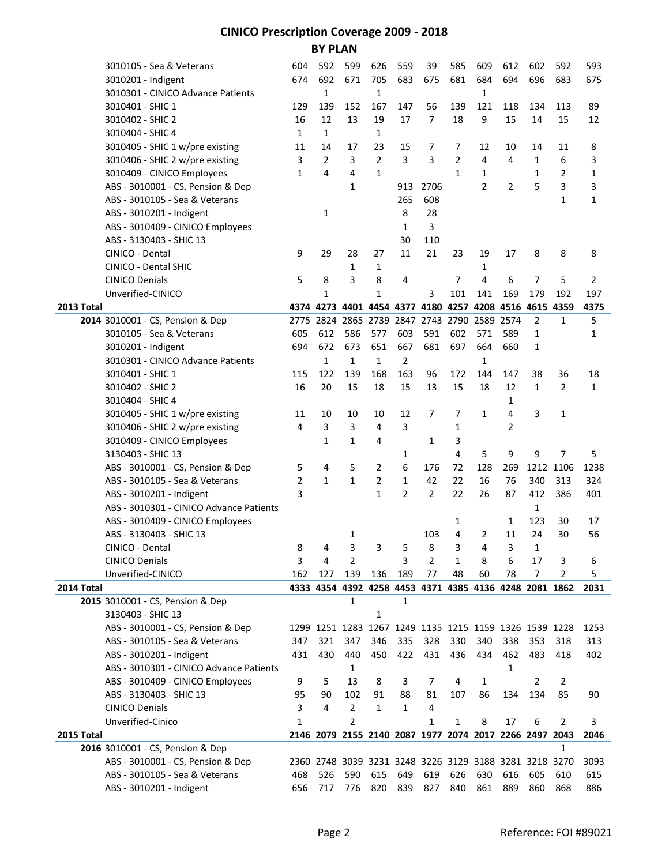## **CINICO Prescription Coverage 2009 - 2018 BY PLAN**

|            | 3010105 - Sea & Veterans                | 604                                                    | 592            | 599            | 626                           | 559            | 39             | 585            | 609            | 612                                                    | 602            | 592            | 593          |
|------------|-----------------------------------------|--------------------------------------------------------|----------------|----------------|-------------------------------|----------------|----------------|----------------|----------------|--------------------------------------------------------|----------------|----------------|--------------|
|            | 3010201 - Indigent                      | 674                                                    | 692            | 671            | 705                           | 683            | 675            | 681            | 684            | 694                                                    | 696            | 683            | 675          |
|            | 3010301 - CINICO Advance Patients       |                                                        | $\mathbf{1}$   |                | $\mathbf{1}$                  |                |                |                | $\mathbf{1}$   |                                                        |                |                |              |
|            | 3010401 - SHIC 1                        | 129                                                    | 139            | 152            | 167                           | 147            | 56             | 139            | 121            | 118                                                    | 134            | 113            | 89           |
|            | 3010402 - SHIC 2                        | 16                                                     | 12             | 13             | 19                            | 17             | $\overline{7}$ | 18             | 9              | 15                                                     | 14             | 15             | 12           |
|            | 3010404 - SHIC 4                        | $\mathbf{1}$                                           | $\mathbf{1}$   |                | $\mathbf{1}$                  |                |                |                |                |                                                        |                |                |              |
|            | 3010405 - SHIC 1 w/pre existing         | 11                                                     | 14             | 17             | 23                            | 15             | 7              | 7              | 12             | 10                                                     | 14             | 11             | 8            |
|            | 3010406 - SHIC 2 w/pre existing         | 3                                                      | $\overline{2}$ | 3              | $\overline{2}$                | 3              | 3              | $\overline{2}$ | 4              | 4                                                      | $\mathbf{1}$   | 6              | 3            |
|            | 3010409 - CINICO Employees              | $\mathbf{1}$                                           | 4              | 4              | $\mathbf{1}$                  |                |                | $\mathbf{1}$   | $\mathbf{1}$   |                                                        | $\mathbf{1}$   | 2              | 1            |
|            | ABS - 3010001 - CS, Pension & Dep       |                                                        |                | $\mathbf{1}$   |                               | 913            | 2706           |                | $\overline{2}$ | 2                                                      | 5              | 3              | 3            |
|            | ABS - 3010105 - Sea & Veterans          |                                                        |                |                |                               | 265            | 608            |                |                |                                                        |                | $\mathbf{1}$   | 1            |
|            | ABS - 3010201 - Indigent                |                                                        | 1              |                |                               | 8              | 28             |                |                |                                                        |                |                |              |
|            | ABS - 3010409 - CINICO Employees        |                                                        |                |                |                               | $\mathbf{1}$   | 3              |                |                |                                                        |                |                |              |
|            | ABS - 3130403 - SHIC 13                 |                                                        |                |                |                               | 30             | 110            |                |                |                                                        |                |                |              |
|            | CINICO - Dental                         | 9                                                      | 29             | 28             | 27                            | 11             | 21             | 23             | 19             | 17                                                     | 8              | 8              | 8            |
|            | CINICO - Dental SHIC                    |                                                        |                | 1              | $\mathbf{1}$                  |                |                |                | 1              |                                                        |                |                |              |
|            | <b>CINICO Denials</b>                   | 5                                                      | 8              | 3              | 8                             | 4              |                | 7              | 4              | 6                                                      | 7              | 5              | 2            |
|            | Unverified-CINICO                       |                                                        | $\mathbf{1}$   |                | $\mathbf{1}$                  |                | 3              | 101            | 141            | 169                                                    | 179            | 192            | 197          |
| 2013 Total |                                         |                                                        |                |                | 4374 4273 4401 4454 4377 4180 |                |                | 4257           | 4208           | 4516 4615                                              |                | 4359           | 4375         |
|            | 2014 3010001 - CS, Pension & Dep        | 2775                                                   | 2824           |                | 2865 2739                     | 2847           | 2743           | 2790 2589      |                | 2574                                                   | $\overline{2}$ | $\mathbf{1}$   | 5            |
|            | 3010105 - Sea & Veterans                | 605                                                    | 612            | 586            | 577                           | 603            | 591            | 602            | 571            | 589                                                    | $\mathbf{1}$   |                | 1            |
|            | 3010201 - Indigent                      | 694                                                    | 672            | 673            | 651                           | 667            | 681            | 697            | 664            | 660                                                    | 1              |                |              |
|            | 3010301 - CINICO Advance Patients       |                                                        | $\mathbf{1}$   | $\mathbf{1}$   | $\mathbf{1}$                  | $\overline{2}$ |                |                | 1              |                                                        |                |                |              |
|            | 3010401 - SHIC 1                        | 115                                                    | 122            | 139            | 168                           | 163            | 96             | 172            | 144            | 147                                                    | 38             | 36             | 18           |
|            | 3010402 - SHIC 2                        | 16                                                     | 20             | 15             | 18                            | 15             | 13             | 15             | 18             | 12                                                     | $\mathbf{1}$   | $\overline{2}$ | $\mathbf{1}$ |
|            | 3010404 - SHIC 4                        |                                                        |                |                |                               |                |                |                |                | 1                                                      |                |                |              |
|            | 3010405 - SHIC 1 w/pre existing         | 11                                                     | 10             | 10             | 10                            | 12             | 7              | 7              | $\mathbf{1}$   | 4                                                      | 3              | $\mathbf{1}$   |              |
|            | 3010406 - SHIC 2 w/pre existing         | 4                                                      | 3              | 3              | $\overline{4}$                | 3              |                | 1              |                | 2                                                      |                |                |              |
|            | 3010409 - CINICO Employees              |                                                        | $\mathbf{1}$   | $\mathbf{1}$   | 4                             |                | $\mathbf{1}$   | 3              |                |                                                        |                |                |              |
|            | 3130403 - SHIC 13                       |                                                        |                |                |                               | 1              |                | 4              | 5              | 9                                                      | 9              | $\overline{7}$ | 5            |
|            | ABS - 3010001 - CS, Pension & Dep       | 5                                                      | 4              | 5              | $\overline{2}$                | 6              | 176            | 72             | 128            | 269                                                    | 1212           | 1106           | 1238         |
|            | ABS - 3010105 - Sea & Veterans          | $\overline{2}$                                         | $\mathbf{1}$   | $\mathbf{1}$   | $\overline{2}$                | $\mathbf{1}$   | 42             | 22             | 16             | 76                                                     | 340            | 313            | 324          |
|            | ABS - 3010201 - Indigent                | 3                                                      |                |                | $\mathbf{1}$                  | 2              | $\overline{2}$ | 22             | 26             | 87                                                     | 412            | 386            | 401          |
|            | ABS - 3010301 - CINICO Advance Patients |                                                        |                |                |                               |                |                |                |                |                                                        | 1              |                |              |
|            | ABS - 3010409 - CINICO Employees        |                                                        |                |                |                               |                |                | 1              |                | $\mathbf{1}$                                           | 123            | 30             | 17           |
|            | ABS - 3130403 - SHIC 13                 |                                                        |                | 1              |                               |                | 103            | 4              | 2              | 11                                                     | 24             | 30             | 56           |
|            | CINICO - Dental                         | 8                                                      | 4              | 3              | 3                             | 5              | 8              | 3              | 4              | 3                                                      | 1              |                |              |
|            | <b>CINICO Denials</b>                   | 3                                                      | 4              | 2              |                               | 3              | 2              | 1              | 8              | 6                                                      | 17             | 3              | 6            |
|            | Unverified-CINICO                       | 162                                                    | 127            | 139            | 136                           | 189            | 77             | 48             | 60             | 78                                                     | $\overline{7}$ | 2              | 5            |
| 2014 Total |                                         |                                                        |                |                |                               |                |                |                |                | 4333 4354 4392 4258 4453 4371 4385 4136 4248 2081 1862 |                |                | 2031         |
|            | 2015 3010001 - CS, Pension & Dep        |                                                        |                | $\mathbf{1}$   |                               | $\mathbf{1}$   |                |                |                |                                                        |                |                |              |
|            | 3130403 - SHIC 13                       |                                                        |                |                | $\mathbf{1}$                  |                |                |                |                |                                                        |                |                |              |
|            | ABS - 3010001 - CS, Pension & Dep       |                                                        |                |                |                               |                |                |                |                | 1299 1251 1283 1267 1249 1135 1215 1159 1326 1539 1228 |                |                | 1253         |
|            | ABS - 3010105 - Sea & Veterans          | 347                                                    | 321            | 347            | 346                           | 335            | 328            | 330            | 340            | 338                                                    | 353            | 318            | 313          |
|            | ABS - 3010201 - Indigent                | 431                                                    | 430            | 440            | 450                           | 422            | 431            | 436            | 434            | 462                                                    | 483            | 418            | 402          |
|            | ABS - 3010301 - CINICO Advance Patients |                                                        |                | 1              |                               |                |                |                |                | 1                                                      |                |                |              |
|            | ABS - 3010409 - CINICO Employees        | 9                                                      | 5              | 13             | 8                             | 3              | $\overline{7}$ | 4              | 1              |                                                        | $\overline{2}$ | $\overline{2}$ |              |
|            | ABS - 3130403 - SHIC 13                 | 95                                                     | 90             | 102            | 91                            | 88             | 81             | 107            | 86             | 134                                                    | 134            | 85             | 90           |
|            | <b>CINICO Denials</b>                   | 3                                                      | 4              | $\overline{2}$ | $\mathbf{1}$                  | $\mathbf{1}$   | 4              |                |                |                                                        |                |                |              |
|            | Unverified-Cinico                       | $\mathbf{1}$                                           |                | $\overline{2}$ |                               |                | 1              | 1              | 8              | 17                                                     | 6              | $\overline{2}$ | 3            |
| 2015 Total |                                         |                                                        |                |                |                               |                |                |                |                | 2146 2079 2155 2140 2087 1977 2074 2017 2266 2497 2043 |                |                | 2046         |
|            | 2016 3010001 - CS, Pension & Dep        |                                                        |                |                |                               |                |                |                |                |                                                        |                | $\mathbf{1}$   |              |
|            | ABS - 3010001 - CS, Pension & Dep       | 2360 2748 3039 3231 3248 3226 3129 3188 3281 3218 3270 |                |                |                               |                |                |                |                |                                                        |                |                | 3093         |
|            |                                         |                                                        |                |                |                               |                |                |                |                |                                                        |                |                |              |
|            | ABS - 3010105 - Sea & Veterans          | 468                                                    | 526<br>717     | 590            | 615                           | 649            | 619            | 626            | 630            | 616                                                    | 605            | 610            | 615          |